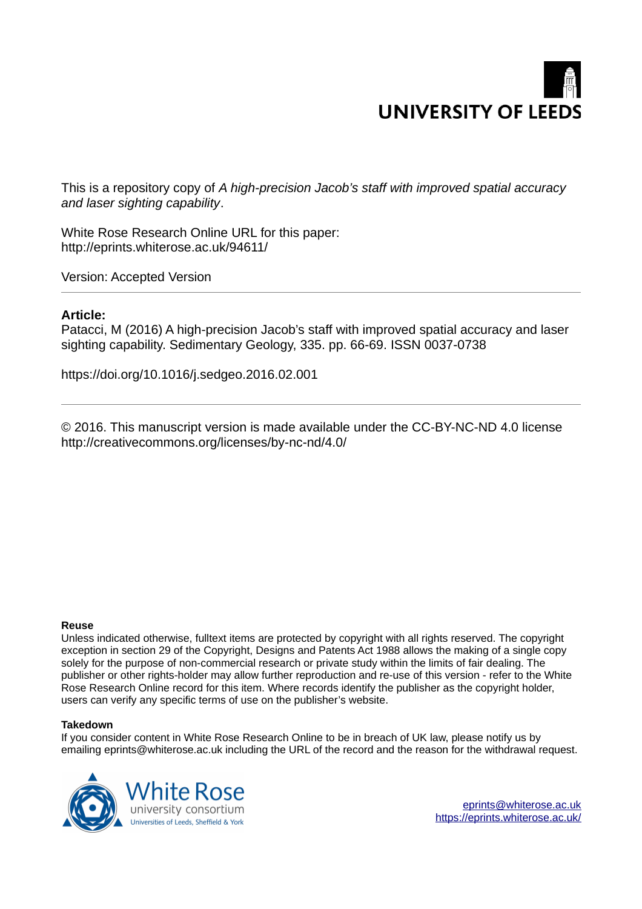# **UNIVERSITY OF LEEDS**

This is a repository copy of *A high-precision Jacob's staff with improved spatial accuracy and laser sighting capability*.

White Rose Research Online URL for this paper: http://eprints.whiterose.ac.uk/94611/

Version: Accepted Version

# **Article:**

Patacci, M (2016) A high-precision Jacob's staff with improved spatial accuracy and laser sighting capability. Sedimentary Geology, 335. pp. 66-69. ISSN 0037-0738

https://doi.org/10.1016/j.sedgeo.2016.02.001

© 2016. This manuscript version is made available under the CC-BY-NC-ND 4.0 license http://creativecommons.org/licenses/by-nc-nd/4.0/

# **Reuse**

Unless indicated otherwise, fulltext items are protected by copyright with all rights reserved. The copyright exception in section 29 of the Copyright, Designs and Patents Act 1988 allows the making of a single copy solely for the purpose of non-commercial research or private study within the limits of fair dealing. The publisher or other rights-holder may allow further reproduction and re-use of this version - refer to the White Rose Research Online record for this item. Where records identify the publisher as the copyright holder, users can verify any specific terms of use on the publisher's website.

# **Takedown**

If you consider content in White Rose Research Online to be in breach of UK law, please notify us by emailing eprints@whiterose.ac.uk including the URL of the record and the reason for the withdrawal request.

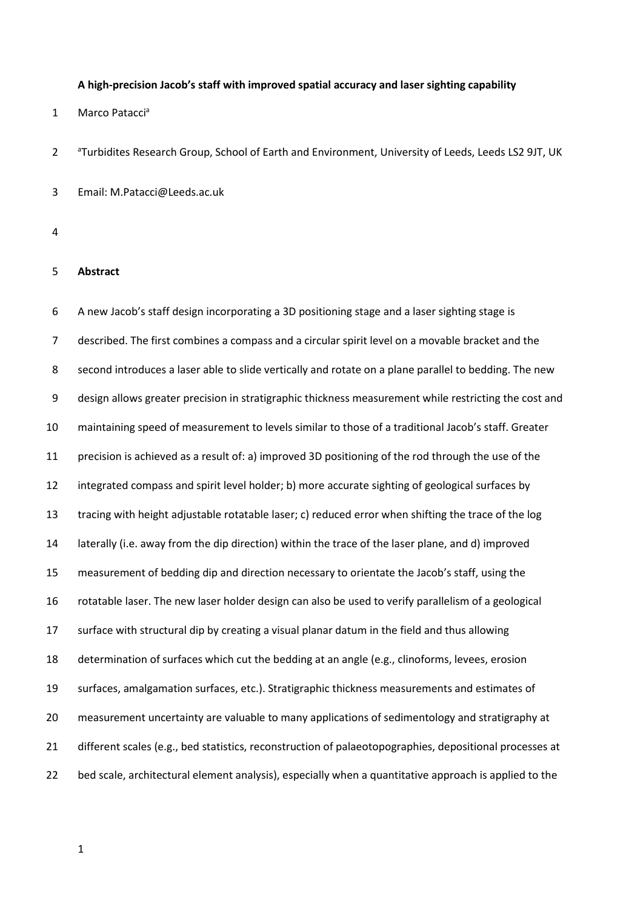#### A high-precision Jacob's staff with improved spatial accuracy and laser sighting capability

1 Marco Patacci<sup>a</sup>

a 2 a <sup>a</sup> Turbidites Research Group, School of Earth and Environment, University of Leeds, Leeds LS2 9JT, UK

3 Email: M.Patacci@Leeds.ac.uk

4

#### 5 **Abstract**

6 A new Jacob's staff design incorporating a 3D positioning stage and a laser sighting stage is 7 described. The first combines a compass and a circular spirit level on a movable bracket and the 8 second introduces a laser able to slide vertically and rotate on a plane parallel to bedding. The new 9 design allows greater precision in stratigraphic thickness measurement while restricting the cost and 10 maintaining speed of measurement to levels similar to those of a traditional Jacob's staff. Greater 11 precision is achieved as a result of: a) improved 3D positioning of the rod through the use of the 12 integrated compass and spirit level holder; b) more accurate sighting of geological surfaces by 13 tracing with height adjustable rotatable laser; c) reduced error when shifting the trace of the log 14 laterally (i.e. away from the dip direction) within the trace of the laser plane, and d) improved 15 measurement of bedding dip and direction necessary to orientate the Jacob's staff, using the 16 rotatable laser. The new laser holder design can also be used to verify parallelism of a geological 17 surface with structural dip by creating a visual planar datum in the field and thus allowing 18 determination of surfaces which cut the bedding at an angle (e.g., clinoforms, levees, erosion 19 surfaces, amalgamation surfaces, etc.). Stratigraphic thickness measurements and estimates of 20 measurement uncertainty are valuable to many applications of sedimentology and stratigraphy at 21 different scales (e.g., bed statistics, reconstruction of palaeotopographies, depositional processes at 22 bed scale, architectural element analysis), especially when a quantitative approach is applied to the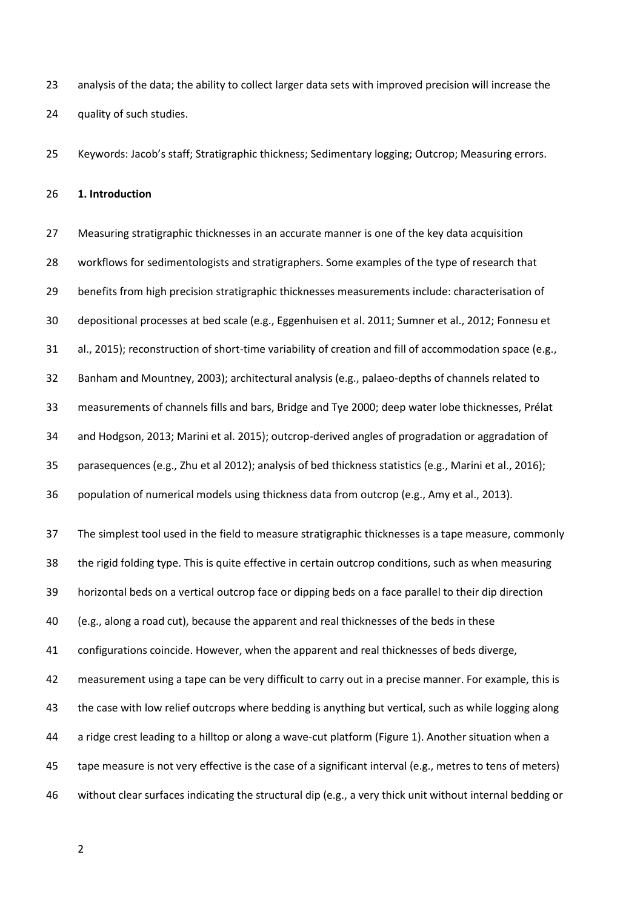analysis of the data; the ability to collect larger data sets with improved precision will increase the 24 quality of such studies.

25 Keywords: Jacob's staff; Stratigraphic thickness; Sedimentary logging; Outcrop; Measuring errors.

**1. Introduction** 

 Measuring stratigraphic thicknesses in an accurate manner is one of the key data acquisition workflows for sedimentologists and stratigraphers. Some examples of the type of research that benefits from high precision stratigraphic thicknesses measurements include: characterisation of depositional processes at bed scale (e.g., Eggenhuisen et al. 2011; Sumner et al., 2012; Fonnesu et al., 2015); reconstruction of short-time variability of creation and fill of accommodation space (e.g., Banham and Mountney, 2003); architectural analysis (e.g., palaeo-depths of channels related to 33 measurements of channels fills and bars, Bridge and Tye 2000; deep water lobe thicknesses, Prélat and Hodgson, 2013; Marini et al. 2015); outcrop-derived angles of progradation or aggradation of parasequences (e.g., Zhu et al 2012); analysis of bed thickness statistics (e.g., Marini et al., 2016); population of numerical models using thickness data from outcrop (e.g., Amy et al., 2013). The simplest tool used in the field to measure stratigraphic thicknesses is a tape measure, commonly the rigid folding type. This is quite effective in certain outcrop conditions, such as when measuring horizontal beds on a vertical outcrop face or dipping beds on a face parallel to their dip direction (e.g., along a road cut), because the apparent and real thicknesses of the beds in these configurations coincide. However, when the apparent and real thicknesses of beds diverge, measurement using a tape can be very difficult to carry out in a precise manner. For example, this is the case with low relief outcrops where bedding is anything but vertical, such as while logging along a ridge crest leading to a hilltop or along a wave-cut platform (Figure 1). Another situation when a tape measure is not very effective is the case of a significant interval (e.g., metres to tens of meters) without clear surfaces indicating the structural dip (e.g., a very thick unit without internal bedding or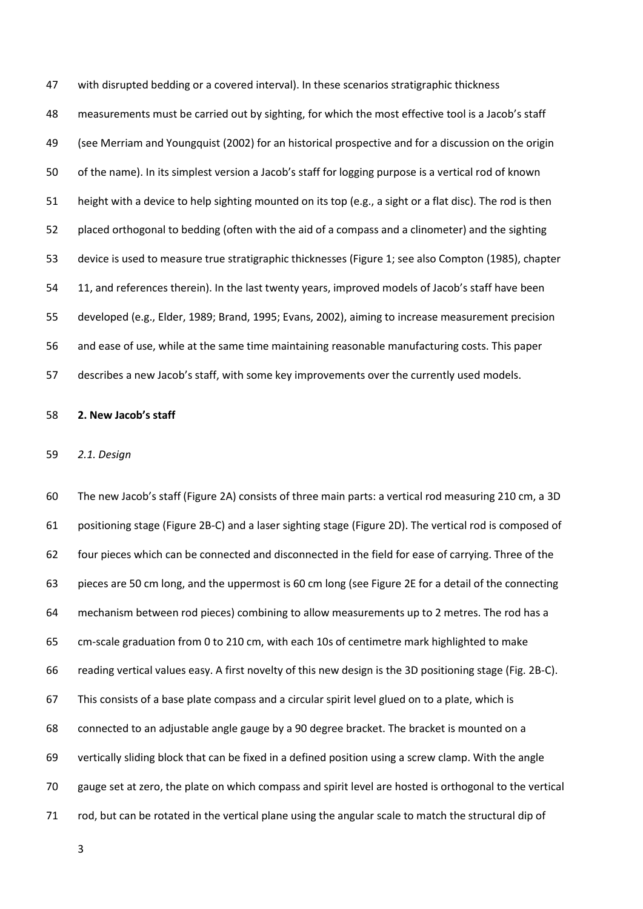with disrupted bedding or a covered interval). In these scenarios stratigraphic thickness 48 measurements must be carried out by sighting, for which the most effective tool is a Jacob's staff (see Merriam and Youngquist (2002) for an historical prospective and for a discussion on the origin 50 of the name). In its simplest version a Jacob's staff for logging purpose is a vertical rod of known height with a device to help sighting mounted on its top (e.g., a sight or a flat disc). The rod is then placed orthogonal to bedding (often with the aid of a compass and a clinometer) and the sighting device is used to measure true stratigraphic thicknesses (Figure 1; see also Compton (1985), chapter 54 11, and references therein). In the last twenty years, improved models of Jacob's staff have been developed (e.g., Elder, 1989; Brand, 1995; Evans, 2002), aiming to increase measurement precision and ease of use, while at the same time maintaining reasonable manufacturing costs. This paper 57 describes a new Jacob's staff, with some key improvements over the currently used models.

#### **2. New Jacob's staff**

*2.1. Design* 

60 The new Jacob's staff (Figure 2A) consists of three main parts: a vertical rod measuring 210 cm, a 3D positioning stage (Figure 2B-C) and a laser sighting stage (Figure 2D). The vertical rod is composed of four pieces which can be connected and disconnected in the field for ease of carrying. Three of the pieces are 50 cm long, and the uppermost is 60 cm long (see Figure 2E for a detail of the connecting mechanism between rod pieces) combining to allow measurements up to 2 metres. The rod has a cm-scale graduation from 0 to 210 cm, with each 10s of centimetre mark highlighted to make reading vertical values easy. A first novelty of this new design is the 3D positioning stage (Fig. 2B-C). This consists of a base plate compass and a circular spirit level glued on to a plate, which is connected to an adjustable angle gauge by a 90 degree bracket. The bracket is mounted on a vertically sliding block that can be fixed in a defined position using a screw clamp. With the angle gauge set at zero, the plate on which compass and spirit level are hosted is orthogonal to the vertical rod, but can be rotated in the vertical plane using the angular scale to match the structural dip of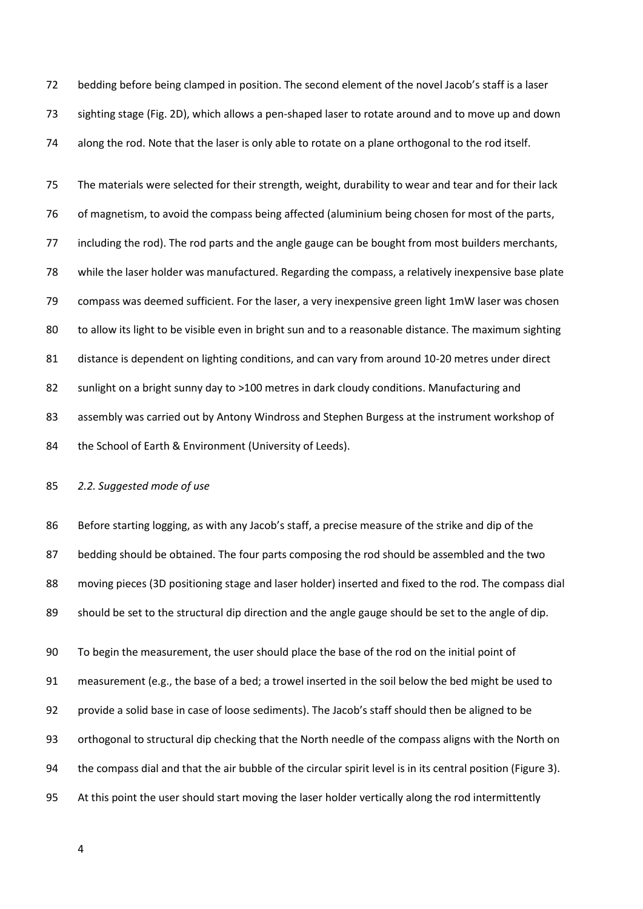72 bedding before being clamped in position. The second element of the novel Jacob's staff is a laser sighting stage (Fig. 2D), which allows a pen-shaped laser to rotate around and to move up and down along the rod. Note that the laser is only able to rotate on a plane orthogonal to the rod itself.

 The materials were selected for their strength, weight, durability to wear and tear and for their lack of magnetism, to avoid the compass being affected (aluminium being chosen for most of the parts, including the rod). The rod parts and the angle gauge can be bought from most builders merchants, while the laser holder was manufactured. Regarding the compass, a relatively inexpensive base plate compass was deemed sufficient. For the laser, a very inexpensive green light 1mW laser was chosen to allow its light to be visible even in bright sun and to a reasonable distance. The maximum sighting distance is dependent on lighting conditions, and can vary from around 10-20 metres under direct 82 sunlight on a bright sunny day to >100 metres in dark cloudy conditions. Manufacturing and assembly was carried out by Antony Windross and Stephen Burgess at the instrument workshop of 84 the School of Earth & Environment (University of Leeds).

#### *2.2. Suggested mode of use*

86 Before starting logging, as with any Jacob's staff, a precise measure of the strike and dip of the bedding should be obtained. The four parts composing the rod should be assembled and the two moving pieces (3D positioning stage and laser holder) inserted and fixed to the rod. The compass dial should be set to the structural dip direction and the angle gauge should be set to the angle of dip.

 To begin the measurement, the user should place the base of the rod on the initial point of measurement (e.g., the base of a bed; a trowel inserted in the soil below the bed might be used to 92 provide a solid base in case of loose sediments). The Jacob's staff should then be aligned to be orthogonal to structural dip checking that the North needle of the compass aligns with the North on the compass dial and that the air bubble of the circular spirit level is in its central position (Figure 3). At this point the user should start moving the laser holder vertically along the rod intermittently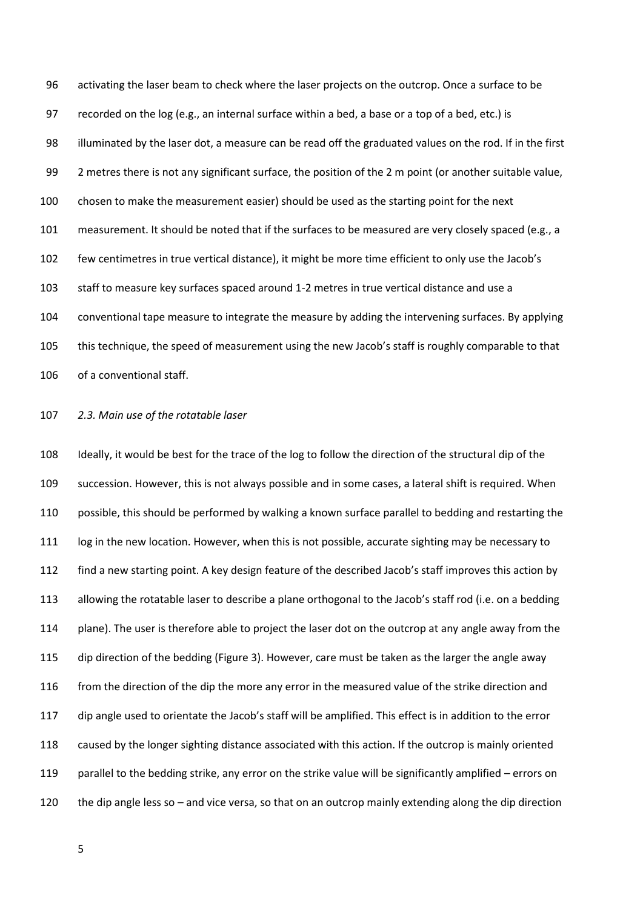activating the laser beam to check where the laser projects on the outcrop. Once a surface to be recorded on the log (e.g., an internal surface within a bed, a base or a top of a bed, etc.) is illuminated by the laser dot, a measure can be read off the graduated values on the rod. If in the first 2 metres there is not any significant surface, the position of the 2 m point (or another suitable value, chosen to make the measurement easier) should be used as the starting point for the next measurement. It should be noted that if the surfaces to be measured are very closely spaced (e.g., a 102 few centimetres in true vertical distance), it might be more time efficient to only use the Jacob's staff to measure key surfaces spaced around 1-2 metres in true vertical distance and use a conventional tape measure to integrate the measure by adding the intervening surfaces. By applying 105 this technique, the speed of measurement using the new Jacob's staff is roughly comparable to that of a conventional staff.

#### *2.3. Main use of the rotatable laser*

 Ideally, it would be best for the trace of the log to follow the direction of the structural dip of the succession. However, this is not always possible and in some cases, a lateral shift is required. When possible, this should be performed by walking a known surface parallel to bedding and restarting the log in the new location. However, when this is not possible, accurate sighting may be necessary to 112 find a new starting point. A key design feature of the described Jacob's staff improves this action by 113 allowing the rotatable laser to describe a plane orthogonal to the Jacob's staff rod (i.e. on a bedding 114 plane). The user is therefore able to project the laser dot on the outcrop at any angle away from the dip direction of the bedding (Figure 3). However, care must be taken as the larger the angle away 116 from the direction of the dip the more any error in the measured value of the strike direction and 117 dip angle used to orientate the Jacob's staff will be amplified. This effect is in addition to the error caused by the longer sighting distance associated with this action. If the outcrop is mainly oriented 119 parallel to the bedding strike, any error on the strike value will be significantly amplified – errors on 120 the dip angle less so  $-$  and vice versa, so that on an outcrop mainly extending along the dip direction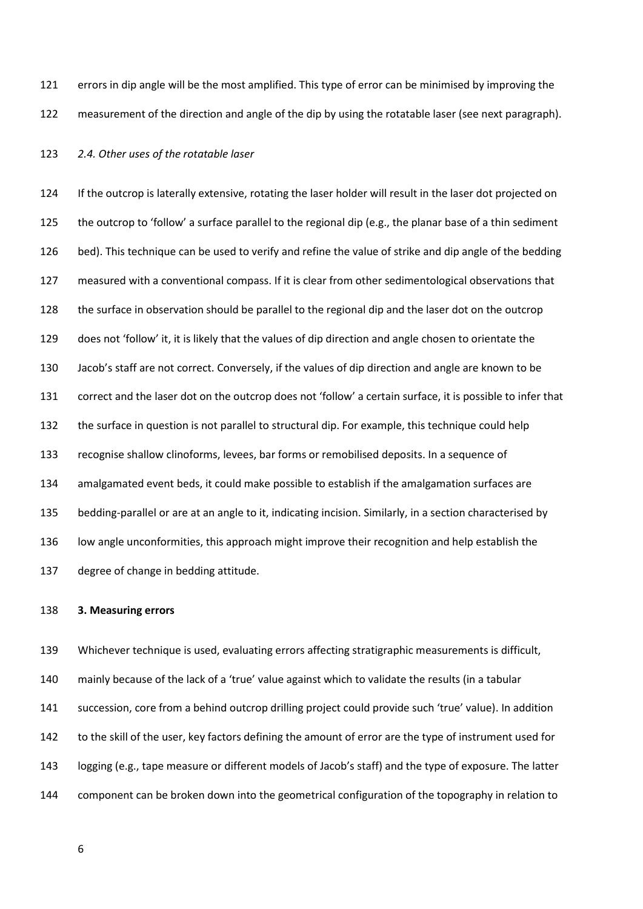errors in dip angle will be the most amplified. This type of error can be minimised by improving the measurement of the direction and angle of the dip by using the rotatable laser (see next paragraph).

# *2.4. Other uses of the rotatable laser*

 If the outcrop is laterally extensive, rotating the laser holder will result in the laser dot projected on 125 the outcrop to 'follow' a surface parallel to the regional dip (e.g., the planar base of a thin sediment 126 bed). This technique can be used to verify and refine the value of strike and dip angle of the bedding measured with a conventional compass. If it is clear from other sedimentological observations that the surface in observation should be parallel to the regional dip and the laser dot on the outcrop 129 does not 'follow' it, it is likely that the values of dip direction and angle chosen to orientate the 130 Jacob's staff are not correct. Conversely, if the values of dip direction and angle are known to be 131 correct and the laser dot on the outcrop does not 'follow' a certain surface, it is possible to infer that the surface in question is not parallel to structural dip. For example, this technique could help recognise shallow clinoforms, levees, bar forms or remobilised deposits. In a sequence of amalgamated event beds, it could make possible to establish if the amalgamation surfaces are bedding-parallel or are at an angle to it, indicating incision. Similarly, in a section characterised by low angle unconformities, this approach might improve their recognition and help establish the degree of change in bedding attitude.

## **3. Measuring errors**

 Whichever technique is used, evaluating errors affecting stratigraphic measurements is difficult, 140 mainly because of the lack of a 'true' value against which to validate the results (in a tabular 141 succession, core from a behind outcrop drilling project could provide such 'true' value). In addition 142 to the skill of the user, key factors defining the amount of error are the type of instrument used for 143 logging (e.g., tape measure or different models of Jacob's staff) and the type of exposure. The latter component can be broken down into the geometrical configuration of the topography in relation to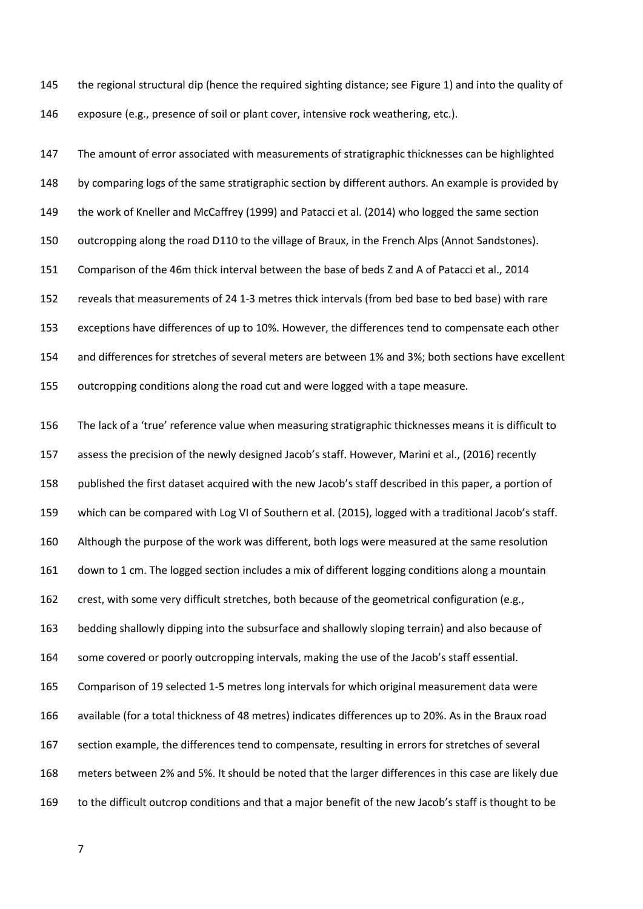the regional structural dip (hence the required sighting distance; see Figure 1) and into the quality of exposure (e.g., presence of soil or plant cover, intensive rock weathering, etc.).

 The amount of error associated with measurements of stratigraphic thicknesses can be highlighted by comparing logs of the same stratigraphic section by different authors. An example is provided by the work of Kneller and McCaffrey (1999) and Patacci et al. (2014) who logged the same section outcropping along the road D110 to the village of Braux, in the French Alps (Annot Sandstones). Comparison of the 46m thick interval between the base of beds Z and A of Patacci et al., 2014 reveals that measurements of 24 1-3 metres thick intervals (from bed base to bed base) with rare exceptions have differences of up to 10%. However, the differences tend to compensate each other and differences for stretches of several meters are between 1% and 3%; both sections have excellent outcropping conditions along the road cut and were logged with a tape measure.

156 The lack of a 'true' reference value when measuring stratigraphic thicknesses means it is difficult to 157 assess the precision of the newly designed Jacob's staff. However, Marini et al., (2016) recently 158 published the first dataset acquired with the new Jacob's staff described in this paper, a portion of 159 which can be compared with Log VI of Southern et al. (2015), logged with a traditional Jacob's staff. Although the purpose of the work was different, both logs were measured at the same resolution down to 1 cm. The logged section includes a mix of different logging conditions along a mountain crest, with some very difficult stretches, both because of the geometrical configuration (e.g., bedding shallowly dipping into the subsurface and shallowly sloping terrain) and also because of 164 some covered or poorly outcropping intervals, making the use of the Jacob's staff essential. Comparison of 19 selected 1-5 metres long intervals for which original measurement data were available (for a total thickness of 48 metres) indicates differences up to 20%. As in the Braux road section example, the differences tend to compensate, resulting in errors for stretches of several meters between 2% and 5%. It should be noted that the larger differences in this case are likely due 169 to the difficult outcrop conditions and that a major benefit of the new Jacob's staff is thought to be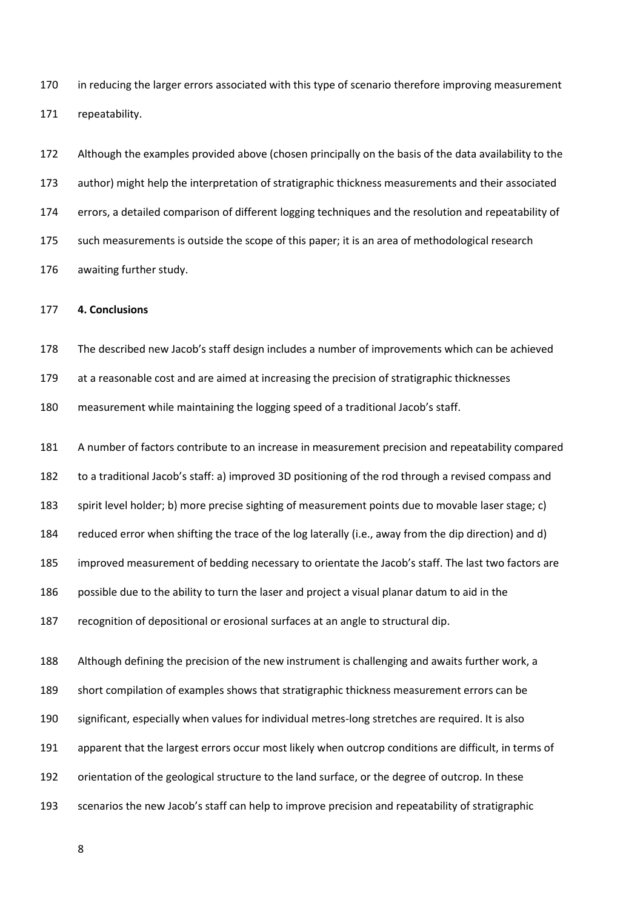in reducing the larger errors associated with this type of scenario therefore improving measurement repeatability.

 Although the examples provided above (chosen principally on the basis of the data availability to the author) might help the interpretation of stratigraphic thickness measurements and their associated errors, a detailed comparison of different logging techniques and the resolution and repeatability of 175 such measurements is outside the scope of this paper; it is an area of methodological research awaiting further study.

# **4. Conclusions**

178 The described new Jacob's staff design includes a number of improvements which can be achieved

at a reasonable cost and are aimed at increasing the precision of stratigraphic thicknesses

180 measurement while maintaining the logging speed of a traditional Jacob's staff.

 A number of factors contribute to an increase in measurement precision and repeatability compared 182 to a traditional Jacob's staff: a) improved 3D positioning of the rod through a revised compass and spirit level holder; b) more precise sighting of measurement points due to movable laser stage; c) reduced error when shifting the trace of the log laterally (i.e., away from the dip direction) and d) 185 improved measurement of bedding necessary to orientate the Jacob's staff. The last two factors are possible due to the ability to turn the laser and project a visual planar datum to aid in the recognition of depositional or erosional surfaces at an angle to structural dip. Although defining the precision of the new instrument is challenging and awaits further work, a short compilation of examples shows that stratigraphic thickness measurement errors can be significant, especially when values for individual metres-long stretches are required. It is also 191 apparent that the largest errors occur most likely when outcrop conditions are difficult, in terms of orientation of the geological structure to the land surface, or the degree of outcrop. In these 193 Scenarios the new Jacob's staff can help to improve precision and repeatability of stratigraphic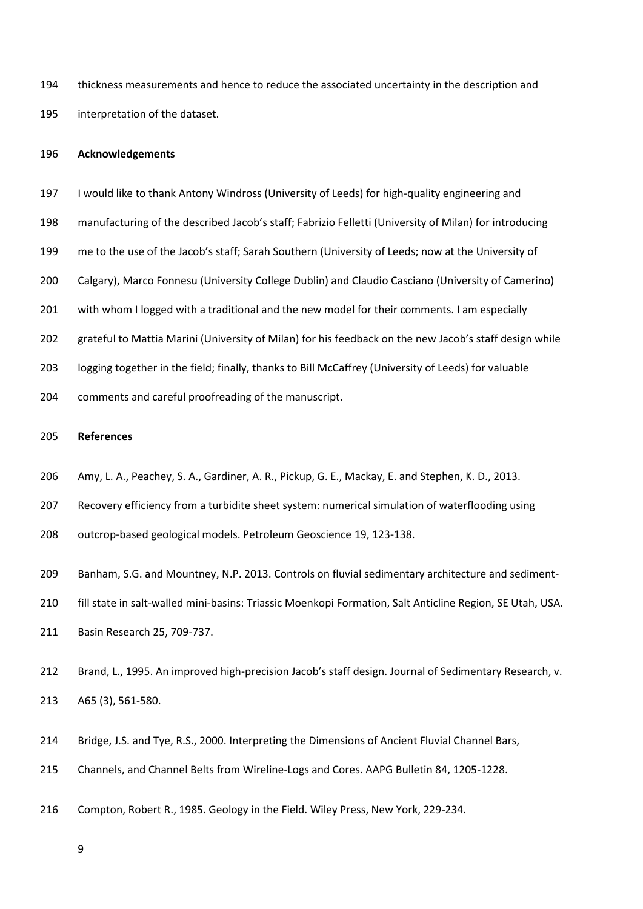thickness measurements and hence to reduce the associated uncertainty in the description and interpretation of the dataset.

# **Acknowledgements**

 I would like to thank Antony Windross (University of Leeds) for high-quality engineering and 198 manufacturing of the described Jacob's staff; Fabrizio Felletti (University of Milan) for introducing 199 me to the use of the Jacob's staff; Sarah Southern (University of Leeds; now at the University of Calgary), Marco Fonnesu (University College Dublin) and Claudio Casciano (University of Camerino) 201 with whom I logged with a traditional and the new model for their comments. I am especially 202 grateful to Mattia Marini (University of Milan) for his feedback on the new Jacob's staff design while logging together in the field; finally, thanks to Bill McCaffrey (University of Leeds) for valuable comments and careful proofreading of the manuscript.

#### **References**

- Amy, L. A., Peachey, S. A., Gardiner, A. R., Pickup, G. E., Mackay, E. and Stephen, K. D., 2013.
- Recovery efficiency from a turbidite sheet system: numerical simulation of waterflooding using
- outcrop-based geological models. Petroleum Geoscience 19, 123-138.
- Banham, S.G. and Mountney, N.P. 2013. Controls on fluvial sedimentary architecture and sediment-
- fill state in salt-walled mini-basins: Triassic Moenkopi Formation, Salt Anticline Region, SE Utah, USA.
- Basin Research 25, 709-737.
- 212 Brand, L., 1995. An improved high-precision Jacob's staff design. Journal of Sedimentary Research, v. A65 (3), 561-580.
- Bridge, J.S. and Tye, R.S., 2000. Interpreting the Dimensions of Ancient Fluvial Channel Bars,
- Channels, and Channel Belts from Wireline-Logs and Cores. AAPG Bulletin 84, 1205-1228.
- Compton, Robert R., 1985. Geology in the Field. Wiley Press, New York, 229-234.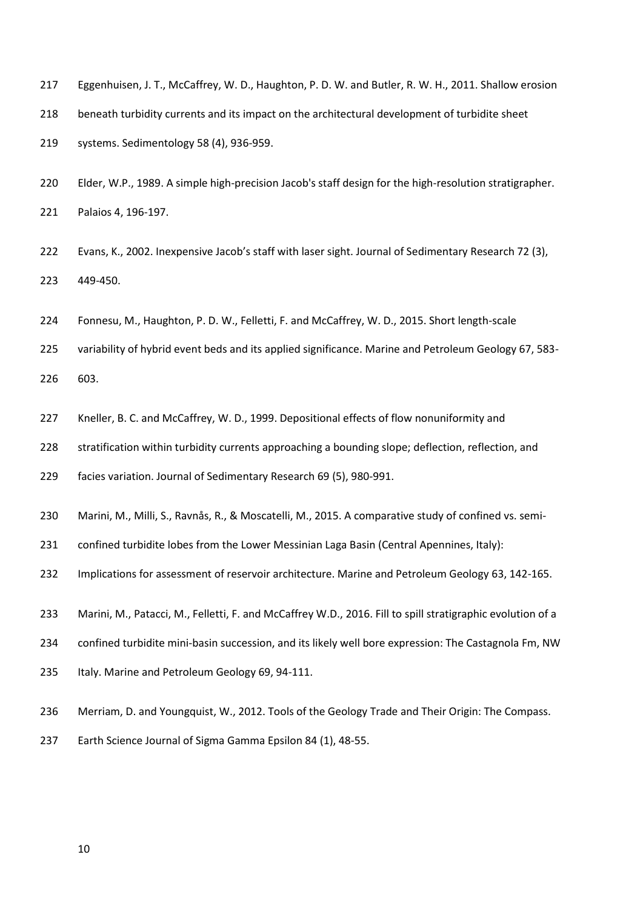- Eggenhuisen, J. T., McCaffrey, W. D., Haughton, P. D. W. and Butler, R. W. H., 2011. Shallow erosion beneath turbidity currents and its impact on the architectural development of turbidite sheet systems. Sedimentology 58 (4), 936-959.
- Elder, W.P., 1989. A simple high-precision Jacob's staff design for the high-resolution stratigrapher. Palaios 4, 196-197.
- 222 Evans, K., 2002. Inexpensive Jacob's staff with laser sight. Journal of Sedimentary Research 72 (3), 449-450.
- Fonnesu, M., Haughton, P. D. W., Felletti, F. and McCaffrey, W. D., 2015. Short length-scale
- variability of hybrid event beds and its applied significance. Marine and Petroleum Geology 67, 583-

603.

- Kneller, B. C. and McCaffrey, W. D., 1999. Depositional effects of flow nonuniformity and
- stratification within turbidity currents approaching a bounding slope; deflection, reflection, and

facies variation. Journal of Sedimentary Research 69 (5), 980-991.

- 230 Marini, M., Milli, S., Ravnås, R., & Moscatelli, M., 2015. A comparative study of confined vs. semi-
- confined turbidite lobes from the Lower Messinian Laga Basin (Central Apennines, Italy):
- Implications for assessment of reservoir architecture. Marine and Petroleum Geology 63, 142-165.
- Marini, M., Patacci, M., Felletti, F. and McCaffrey W.D., 2016. Fill to spill stratigraphic evolution of a
- confined turbidite mini-basin succession, and its likely well bore expression: The Castagnola Fm, NW
- Italy. Marine and Petroleum Geology 69, 94-111.
- Merriam, D. and Youngquist, W., 2012. Tools of the Geology Trade and Their Origin: The Compass.
- Earth Science Journal of Sigma Gamma Epsilon 84 (1), 48-55.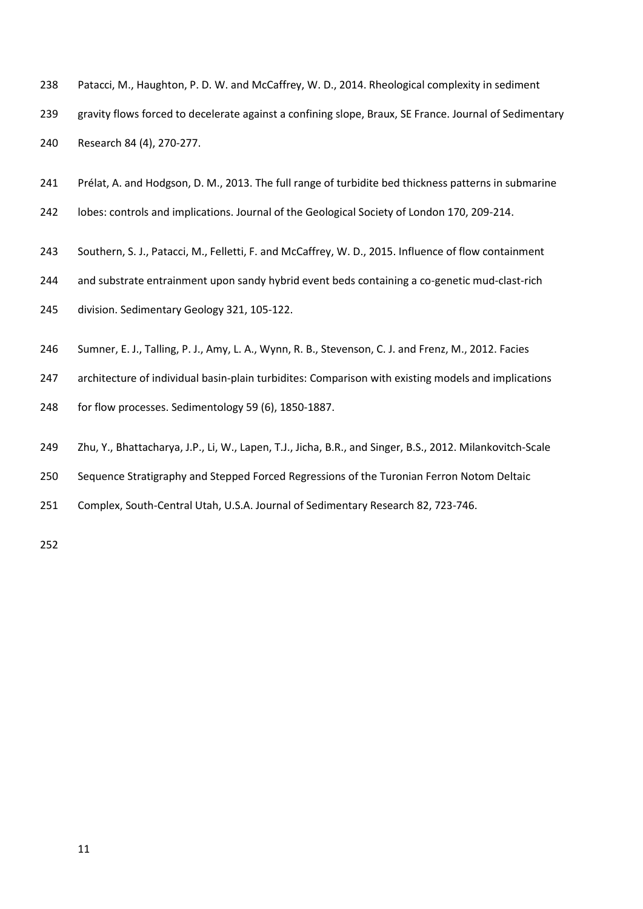- Patacci, M., Haughton, P. D. W. and McCaffrey, W. D., 2014. Rheological complexity in sediment gravity flows forced to decelerate against a confining slope, Braux, SE France. Journal of Sedimentary Research 84 (4), 270-277.
- 241 Prélat, A. and Hodgson, D. M., 2013. The full range of turbidite bed thickness patterns in submarine
- lobes: controls and implications. Journal of the Geological Society of London 170, 209-214.
- Southern, S. J., Patacci, M., Felletti, F. and McCaffrey, W. D., 2015. Influence of flow containment
- 244 and substrate entrainment upon sandy hybrid event beds containing a co-genetic mud-clast-rich
- division. Sedimentary Geology 321, 105-122.
- Sumner, E. J., Talling, P. J., Amy, L. A., Wynn, R. B., Stevenson, C. J. and Frenz, M., 2012. Facies
- architecture of individual basin-plain turbidites: Comparison with existing models and implications
- for flow processes. Sedimentology 59 (6), 1850-1887.
- Zhu, Y., Bhattacharya, J.P., Li, W., Lapen, T.J., Jicha, B.R., and Singer, B.S., 2012. Milankovitch-Scale
- Sequence Stratigraphy and Stepped Forced Regressions of the Turonian Ferron Notom Deltaic
- Complex, South-Central Utah, U.S.A. Journal of Sedimentary Research 82, 723-746.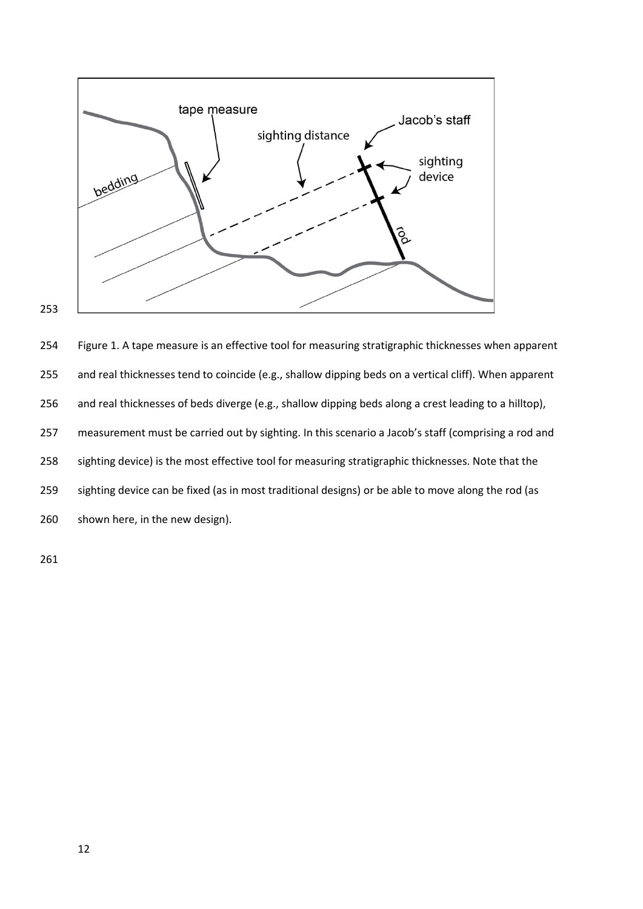

 Figure 1. A tape measure is an effective tool for measuring stratigraphic thicknesses when apparent and real thicknesses tend to coincide (e.g., shallow dipping beds on a vertical cliff). When apparent and real thicknesses of beds diverge (e.g., shallow dipping beds along a crest leading to a hilltop), 257 measurement must be carried out by sighting. In this scenario a Jacob's staff (comprising a rod and sighting device) is the most effective tool for measuring stratigraphic thicknesses. Note that the sighting device can be fixed (as in most traditional designs) or be able to move along the rod (as shown here, in the new design).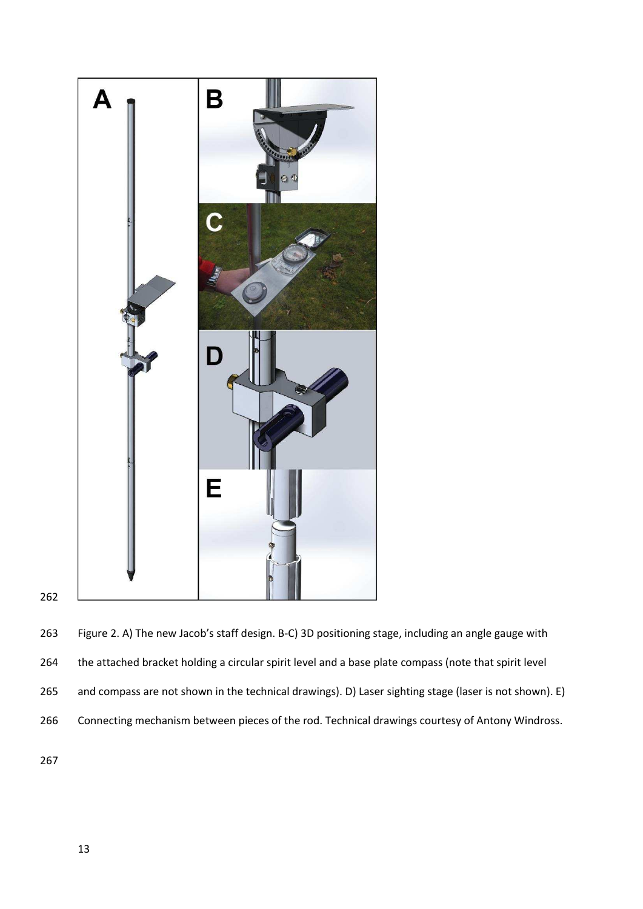

263 Figure 2. A) The new Jacob's staff design. B-C) 3D positioning stage, including an angle gauge with the attached bracket holding a circular spirit level and a base plate compass (note that spirit level and compass are not shown in the technical drawings). D) Laser sighting stage (laser is not shown). E) Connecting mechanism between pieces of the rod. Technical drawings courtesy of Antony Windross.